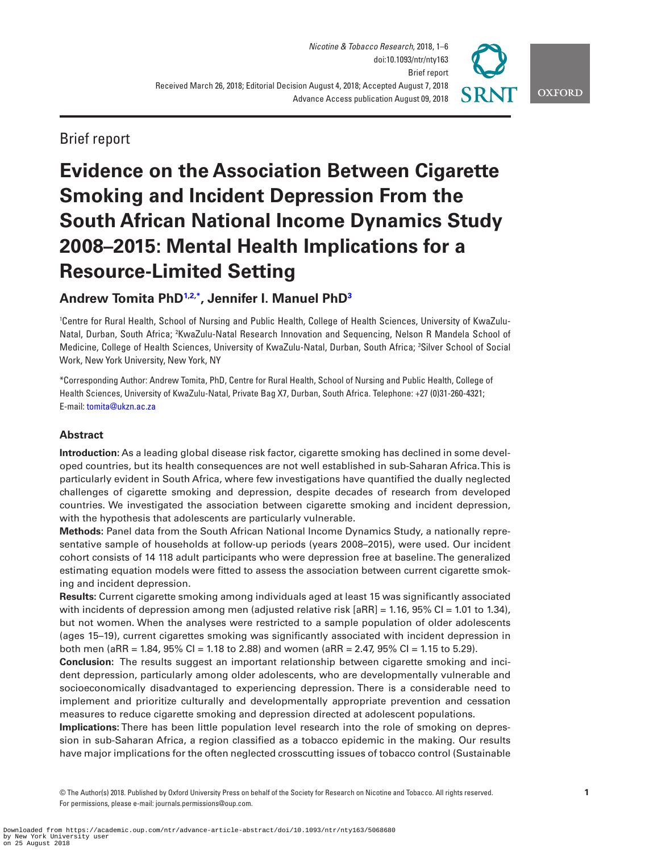

Brief report

# **Evidence on the Association Between Cigarette Smoking and Incident Depression From the South African National Income Dynamics Study 2008–2015: Mental Health Implications for a Resource-Limited Setting**

# **Andrew Tomita Ph[D1](#page-0-0)[,2](#page-0-1)[,\\*](#page-0-2) , Jennifer I. Manuel Ph[D3](#page-0-3)**

<span id="page-0-3"></span><span id="page-0-1"></span><span id="page-0-0"></span>1 Centre for Rural Health, School of Nursing and Public Health, College of Health Sciences, University of KwaZulu-Natal, Durban, South Africa; <sup>2</sup>KwaZulu-Natal Research Innovation and Sequencing, Nelson R Mandela School of Medicine, College of Health Sciences, University of KwaZulu-Natal, Durban, South Africa; 3 Silver School of Social Work, New York University, New York, NY

<span id="page-0-2"></span>\*Corresponding Author: Andrew Tomita, PhD, Centre for Rural Health, School of Nursing and Public Health, College of Health Sciences, University of KwaZulu-Natal, Private Bag X7, Durban, South Africa. Telephone: +27 (0)31-260-4321; E-mail: [tomita@ukzn.ac.za](mailto:tomita@ukzn.ac.za?subject=)

# **Abstract**

**Introduction:** As a leading global disease risk factor, cigarette smoking has declined in some developed countries, but its health consequences are not well established in sub-Saharan Africa. This is particularly evident in South Africa, where few investigations have quantified the dually neglected challenges of cigarette smoking and depression, despite decades of research from developed countries. We investigated the association between cigarette smoking and incident depression, with the hypothesis that adolescents are particularly vulnerable.

**Methods:** Panel data from the South African National Income Dynamics Study, a nationally representative sample of households at follow-up periods (years 2008–2015), were used. Our incident cohort consists of 14 118 adult participants who were depression free at baseline. The generalized estimating equation models were fitted to assess the association between current cigarette smoking and incident depression.

**Results:** Current cigarette smoking among individuals aged at least 15 was significantly associated with incidents of depression among men (adjusted relative risk  $[aRR] = 1.16$ , 95% CI = 1.01 to 1.34), but not women. When the analyses were restricted to a sample population of older adolescents (ages 15–19), current cigarettes smoking was significantly associated with incident depression in both men (aRR = 1.84, 95% CI = 1.18 to 2.88) and women (aRR = 2.47, 95% CI = 1.15 to 5.29).

**Conclusion:** The results suggest an important relationship between cigarette smoking and incident depression, particularly among older adolescents, who are developmentally vulnerable and socioeconomically disadvantaged to experiencing depression. There is a considerable need to implement and prioritize culturally and developmentally appropriate prevention and cessation measures to reduce cigarette smoking and depression directed at adolescent populations.

**Implications:** There has been little population level research into the role of smoking on depression in sub-Saharan Africa, a region classified as a tobacco epidemic in the making. Our results have major implications for the often neglected crosscutting issues of tobacco control (Sustainable

© The Author(s) 2018. Published by Oxford University Press on behalf of the Society for Research on Nicotine and Tobacco. All rights reserved. For permissions, please e-mail: journals.permissions@oup.com.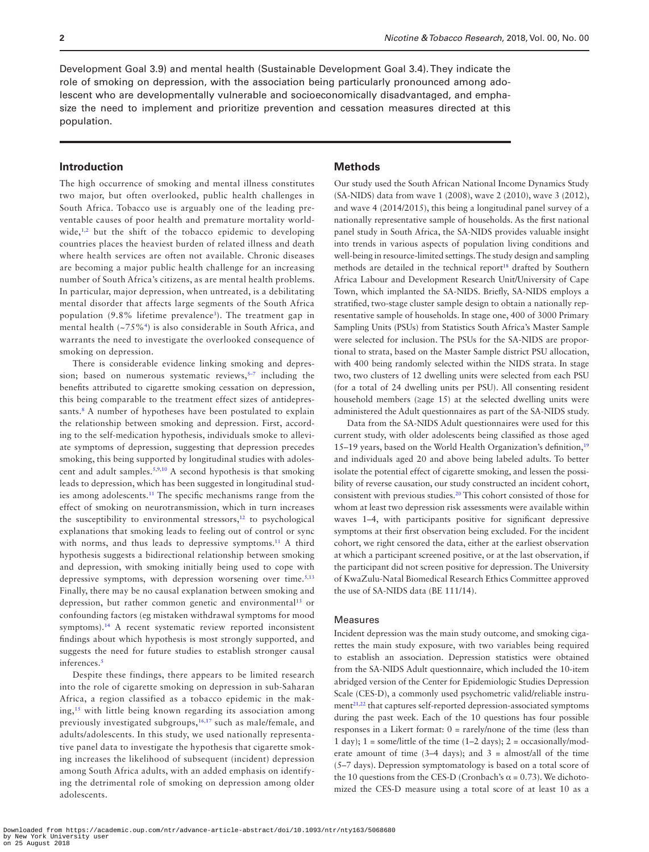Development Goal 3.9) and mental health (Sustainable Development Goal 3.4). They indicate the role of smoking on depression, with the association being particularly pronounced among adolescent who are developmentally vulnerable and socioeconomically disadvantaged, and emphasize the need to implement and prioritize prevention and cessation measures directed at this population.

# **Introduction**

The high occurrence of smoking and mental illness constitutes two major, but often overlooked, public health challenges in South Africa. Tobacco use is arguably one of the leading preventable causes of poor health and premature mortality worldwide, $1,2$  $1,2$  $1,2$  but the shift of the tobacco epidemic to developing countries places the heaviest burden of related illness and death where health services are often not available. Chronic diseases are becoming a major public health challenge for an increasing number of South Africa's citizens, as are mental health problems. In particular, major depression, when untreated, is a debilitating mental disorder that affects large segments of the South Africa population (9.8% lifetime prevalence<sup>3</sup>). The treatment gap in mental health (~75%[4](#page-4-3)) is also considerable in South Africa, and warrants the need to investigate the overlooked consequence of smoking on depression.

There is considerable evidence linking smoking and depression; based on numerous systematic reviews, $5-7$  including the benefits attributed to cigarette smoking cessation on depression, this being comparable to the treatment effect sizes of antidepres-sants.<sup>[8](#page-4-5)</sup> A number of hypotheses have been postulated to explain the relationship between smoking and depression. First, according to the self-medication hypothesis, individuals smoke to alleviate symptoms of depression, suggesting that depression precedes smoking, this being supported by longitudinal studies with adolescent and adult samples.[5,](#page-4-4)[9,](#page-4-6)[10](#page-4-7) A second hypothesis is that smoking leads to depression, which has been suggested in longitudinal studies among adolescents.<sup>11</sup> The specific mechanisms range from the effect of smoking on neurotransmission, which in turn increases the susceptibility to environmental stressors, $12$  to psychological explanations that smoking leads to feeling out of control or sync with norms, and thus leads to depressive symptoms.<sup>11</sup> A third hypothesis suggests a bidirectional relationship between smoking and depression, with smoking initially being used to cope with depressive symptoms, with depression worsening over time.<sup>5[,13](#page-4-10)</sup> Finally, there may be no causal explanation between smoking and depression, but rather common genetic and environmental<sup>[13](#page-4-10)</sup> or confounding factors (eg mistaken withdrawal symptoms for mood symptoms).<sup>[14](#page-4-11)</sup> A recent systematic review reported inconsistent findings about which hypothesis is most strongly supported, and suggests the need for future studies to establish stronger causal inferences.<sup>5</sup>

Despite these findings, there appears to be limited research into the role of cigarette smoking on depression in sub-Saharan Africa, a region classified as a tobacco epidemic in the making[,15](#page-4-12) with little being known regarding its association among previously investigated subgroups,<sup>[16](#page-5-0),[17](#page-5-1)</sup> such as male/female, and adults/adolescents. In this study, we used nationally representative panel data to investigate the hypothesis that cigarette smoking increases the likelihood of subsequent (incident) depression among South Africa adults, with an added emphasis on identifying the detrimental role of smoking on depression among older adolescents.

#### **Methods**

Our study used the South African National Income Dynamics Study (SA-NIDS) data from wave 1 (2008), wave 2 (2010), wave 3 (2012), and wave 4 (2014/2015), this being a longitudinal panel survey of a nationally representative sample of households. As the first national panel study in South Africa, the SA-NIDS provides valuable insight into trends in various aspects of population living conditions and well-being in resource-limited settings. The study design and sampling methods are detailed in the technical report<sup>18</sup> drafted by Southern Africa Labour and Development Research Unit/University of Cape Town, which implanted the SA-NIDS. Briefly, SA-NIDS employs a stratified, two-stage cluster sample design to obtain a nationally representative sample of households. In stage one, 400 of 3000 Primary Sampling Units (PSUs) from Statistics South Africa's Master Sample were selected for inclusion. The PSUs for the SA-NIDS are proportional to strata, based on the Master Sample district PSU allocation, with 400 being randomly selected within the NIDS strata. In stage two, two clusters of 12 dwelling units were selected from each PSU (for a total of 24 dwelling units per PSU). All consenting resident household members (≥age 15) at the selected dwelling units were administered the Adult questionnaires as part of the SA-NIDS study.

Data from the SA-NIDS Adult questionnaires were used for this current study, with older adolescents being classified as those aged 15–19 years, based on the World Health Organization's definition,<sup>19</sup> and individuals aged 20 and above being labeled adults. To better isolate the potential effect of cigarette smoking, and lessen the possibility of reverse causation, our study constructed an incident cohort, consistent with previous studies.[20](#page-5-4) This cohort consisted of those for whom at least two depression risk assessments were available within waves 1–4, with participants positive for significant depressive symptoms at their first observation being excluded. For the incident cohort, we right censored the data, either at the earliest observation at which a participant screened positive, or at the last observation, if the participant did not screen positive for depression. The University of KwaZulu-Natal Biomedical Research Ethics Committee approved the use of SA-NIDS data (BE 111/14).

#### Measures

Incident depression was the main study outcome, and smoking cigarettes the main study exposure, with two variables being required to establish an association. Depression statistics were obtained from the SA-NIDS Adult questionnaire, which included the 10-item abridged version of the Center for Epidemiologic Studies Depression Scale (CES-D), a commonly used psychometric valid/reliable instru-ment<sup>[21](#page-5-5),22</sup> that captures self-reported depression-associated symptoms during the past week. Each of the 10 questions has four possible responses in a Likert format: 0 = rarely/none of the time (less than 1 day);  $1 =$  some/little of the time (1–2 days);  $2 =$  occasionally/moderate amount of time  $(3-4 \text{ days})$ ; and  $3 = \text{almost/all}$  of the time (5–7 days). Depression symptomatology is based on a total score of the 10 questions from the CES-D (Cronbach's  $\alpha$  = 0.73). We dichotomized the CES-D measure using a total score of at least 10 as a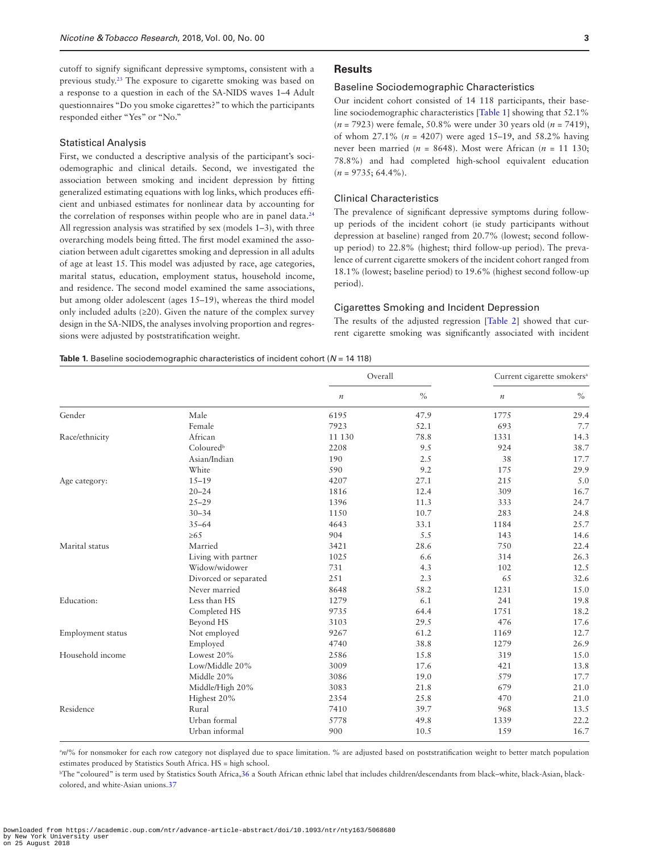cutoff to signify significant depressive symptoms, consistent with a previous study[.23](#page-5-7) The exposure to cigarette smoking was based on a response to a question in each of the SA-NIDS waves 1–4 Adult questionnaires "Do you smoke cigarettes?" to which the participants responded either "Yes" or "No."

#### Statistical Analysis

First, we conducted a descriptive analysis of the participant's sociodemographic and clinical details. Second, we investigated the association between smoking and incident depression by fitting generalized estimating equations with log links, which produces efficient and unbiased estimates for nonlinear data by accounting for the correlation of responses within people who are in panel data.<sup>24</sup> All regression analysis was stratified by sex (models 1–3), with three overarching models being fitted. The first model examined the association between adult cigarettes smoking and depression in all adults of age at least 15. This model was adjusted by race, age categories, marital status, education, employment status, household income, and residence. The second model examined the same associations, but among older adolescent (ages 15–19), whereas the third model only included adults (≥20). Given the nature of the complex survey design in the SA-NIDS, the analyses involving proportion and regressions were adjusted by poststratification weight.

# **Results**

#### Baseline Sociodemographic Characteristics

Our incident cohort consisted of 14 118 participants, their baseline sociodemographic characteristics [[Table 1](#page-2-0)] showing that 52.1% (*n* = 7923) were female, 50.8% were under 30 years old (*n* = 7419), of whom 27.1% (*n* = 4207) were aged 15–19, and 58.2% having never been married ( $n = 8648$ ). Most were African ( $n = 11$  130; 78.8%) and had completed high-school equivalent education  $(n = 9735; 64.4\%).$ 

#### Clinical Characteristics

The prevalence of significant depressive symptoms during followup periods of the incident cohort (ie study participants without depression at baseline) ranged from 20.7% (lowest; second followup period) to 22.8% (highest; third follow-up period). The prevalence of current cigarette smokers of the incident cohort ranged from 18.1% (lowest; baseline period) to 19.6% (highest second follow-up period).

# Cigarettes Smoking and Incident Depression

The results of the adjusted regression [\[Table 2](#page-3-0)] showed that current cigarette smoking was significantly associated with incident

#### <span id="page-2-0"></span>**Table 1.** Baseline sociodemographic characteristics of incident cohort (*N* = 14 118)

|                   |                       | Overall          |      | Current cigarette smokers <sup>a</sup> |      |  |  |
|-------------------|-----------------------|------------------|------|----------------------------------------|------|--|--|
|                   |                       | $\boldsymbol{n}$ | $\%$ | $\it n$                                | $\%$ |  |  |
| Gender            | Male                  | 6195             | 47.9 | 1775                                   | 29.4 |  |  |
|                   | Female                | 7923             | 52.1 | 693                                    | 7.7  |  |  |
| Race/ethnicity    | African               | 11 130           | 78.8 | 1331                                   | 14.3 |  |  |
|                   | Coloured <sup>b</sup> | 2208             | 9.5  | 924                                    | 38.7 |  |  |
|                   | Asian/Indian          | 190              | 2.5  | 38                                     | 17.7 |  |  |
|                   | White                 | 590              | 9.2  | 175                                    | 29.9 |  |  |
| Age category:     | $15 - 19$             | 4207             | 27.1 | 215                                    | 5.0  |  |  |
|                   | $20 - 24$             | 1816             | 12.4 | 309                                    | 16.7 |  |  |
|                   | $25 - 29$             | 1396             | 11.3 | 333                                    | 24.7 |  |  |
|                   | $30 - 34$             | 1150             | 10.7 | 283                                    | 24.8 |  |  |
|                   | $35 - 64$             | 4643             | 33.1 | 1184                                   | 25.7 |  |  |
|                   | $\geq 65$             | 904              | 5.5  | 143                                    | 14.6 |  |  |
| Marital status    | Married               | 3421             | 28.6 | 750                                    | 22.4 |  |  |
|                   | Living with partner   | 1025             | 6.6  | 314                                    | 26.3 |  |  |
|                   | Widow/widower         | 731              | 4.3  | 102                                    | 12.5 |  |  |
|                   | Divorced or separated | 251              | 2.3  | 65                                     | 32.6 |  |  |
|                   | Never married         | 8648             | 58.2 | 1231                                   | 15.0 |  |  |
| Education:        | Less than HS          | 1279             | 6.1  | 241                                    | 19.8 |  |  |
|                   | Completed HS          | 9735             | 64.4 | 1751                                   | 18.2 |  |  |
|                   | Beyond HS             | 3103             | 29.5 | 476                                    | 17.6 |  |  |
| Employment status | Not employed          | 9267             | 61.2 | 1169                                   | 12.7 |  |  |
|                   | Employed              | 4740             | 38.8 | 1279                                   | 26.9 |  |  |
| Household income  | Lowest 20%            | 2586             | 15.8 | 319                                    | 15.0 |  |  |
|                   | Low/Middle 20%        | 3009             | 17.6 | 421                                    | 13.8 |  |  |
|                   | Middle 20%            | 3086             | 19.0 | 579                                    | 17.7 |  |  |
|                   | Middle/High 20%       | 3083             | 21.8 | 679                                    | 21.0 |  |  |
|                   | Highest 20%           | 2354             | 25.8 | 470                                    | 21.0 |  |  |
| Residence         | Rural                 | 7410             | 39.7 | 968                                    | 13.5 |  |  |
|                   | Urban formal          | 5778             | 49.8 | 1339                                   | 22.2 |  |  |
|                   | Urban informal        | 900              | 10.5 | 159                                    | 16.7 |  |  |

<sup>a</sup>n/% for nonsmoker for each row category not displayed due to space limitation. % are adjusted based on poststratification weight to better match population estimates produced by Statistics South Africa. HS = high school.

b The "coloured" is term used by Statistics South Africa[,36](#page-5-9) a South African ethnic label that includes children/descendants from black–white, black-Asian, blackcolored, and white-Asian unions[.37](#page-5-10)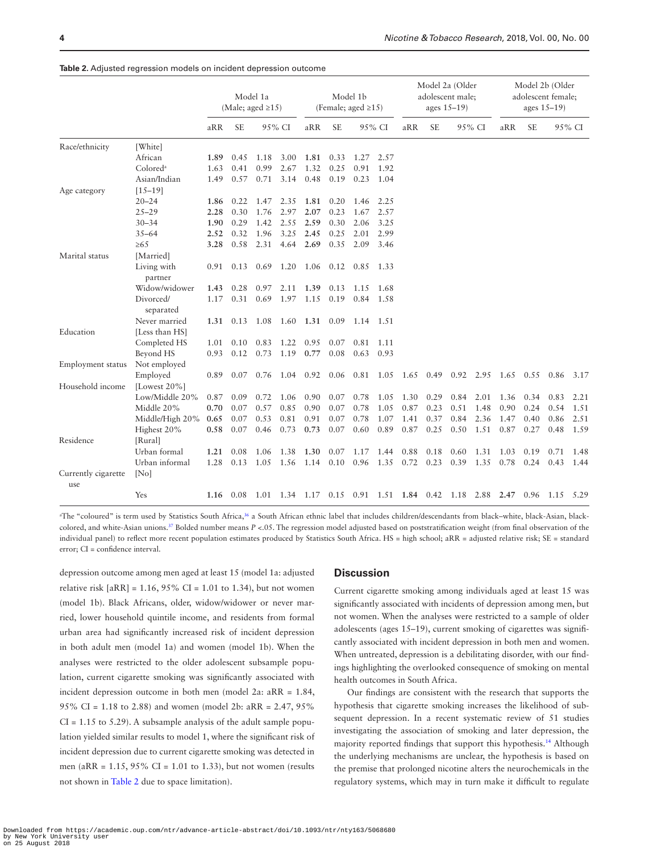|                            |                        | Model 1a<br>(Male; aged $\geq$ 15) |           |             | Model 1b<br>(Female; aged $\ge$ 15) |                     |           | Model 2a (Older<br>adolescent male;<br>ages $15-19$ ) |        |                   |                          | Model 2b (Older<br>adolescent female;<br>ages $15-19$ ) |           |      |             |                                                                                 |        |
|----------------------------|------------------------|------------------------------------|-----------|-------------|-------------------------------------|---------------------|-----------|-------------------------------------------------------|--------|-------------------|--------------------------|---------------------------------------------------------|-----------|------|-------------|---------------------------------------------------------------------------------|--------|
|                            |                        | aRR                                | <b>SE</b> |             | 95% CI                              | aRR                 | <b>SE</b> |                                                       | 95% CI | aRR               | <b>SE</b>                |                                                         | 95% CI    | aRR  | <b>SE</b>   |                                                                                 | 95% CI |
| Race/ethnicity             | [White]                |                                    |           |             |                                     |                     |           |                                                       |        |                   |                          |                                                         |           |      |             |                                                                                 |        |
|                            | African                | 1.89                               | 0.45      | 1.18        | 3.00                                | 1.81                | 0.33      | 1.27                                                  | 2.57   |                   |                          |                                                         |           |      |             |                                                                                 |        |
|                            | Colored <sup>a</sup>   | 1.63                               | 0.41      | 0.99        | 2.67                                | 1.32                | 0.25      | 0.91                                                  | 1.92   |                   |                          |                                                         |           |      |             |                                                                                 |        |
|                            | Asian/Indian           | 1.49                               | 0.57      | 0.71        | 3.14                                | 0.48                | 0.19      | 0.23                                                  | 1.04   |                   |                          |                                                         |           |      |             |                                                                                 |        |
| Age category               | $[15-19]$              |                                    |           |             |                                     |                     |           |                                                       |        |                   |                          |                                                         |           |      |             |                                                                                 |        |
|                            | $20 - 24$              | 1.86                               | 0.22      | 1.47        | 2.35                                | 1.81                | 0.20      | 1.46                                                  | 2.25   |                   |                          |                                                         |           |      |             |                                                                                 |        |
|                            | $25 - 29$              | 2.28                               | 0.30      | 1.76        | 2.97                                | 2.07                | 0.23      | 1.67                                                  | 2.57   |                   |                          |                                                         |           |      |             |                                                                                 |        |
|                            | $30 - 34$              | 1.90                               | 0.29      | 1.42        | 2.55                                | 2.59                | 0.30      | 2.06                                                  | 3.25   |                   |                          |                                                         |           |      |             |                                                                                 |        |
|                            | $35 - 64$              | 2.52                               | 0.32      | 1.96        | 3.25                                | 2.45                | 0.25      | 2.01                                                  | 2.99   |                   |                          |                                                         |           |      |             |                                                                                 |        |
|                            | $\geq 65$              | 3.28                               | 0.58      | 2.31        | 4.64                                | 2.69                | 0.35      | 2.09                                                  | 3.46   |                   |                          |                                                         |           |      |             |                                                                                 |        |
| Marital status             | [Married]              |                                    |           |             |                                     |                     |           |                                                       |        |                   |                          |                                                         |           |      |             |                                                                                 |        |
|                            | Living with<br>partner | 0.91                               | 0.13      | $0.69$ 1.20 |                                     |                     |           | 1.06 0.12 0.85 1.33                                   |        |                   |                          |                                                         |           |      |             |                                                                                 |        |
|                            | Widow/widower          | 1.43                               | 0.28      | 0.97        | 2.11                                | 1.39                | 0.13      | 1.15                                                  | 1.68   |                   |                          |                                                         |           |      |             |                                                                                 |        |
|                            | Divorced/<br>separated | 1.17                               | 0.31      | 0.69        | 1.97                                | 1.15                | 0.19      | 0.84                                                  | 1.58   |                   |                          |                                                         |           |      |             |                                                                                 |        |
|                            | Never married          | 1.31                               | 0.13      |             | 1.08 1.60                           | 1.31 0.09           |           | 1.14 1.51                                             |        |                   |                          |                                                         |           |      |             |                                                                                 |        |
| Education                  | [Less than HS]         |                                    |           |             |                                     |                     |           |                                                       |        |                   |                          |                                                         |           |      |             |                                                                                 |        |
|                            | Completed HS           | 1.01                               | 0.10      | 0.83        | 1.22                                | 0.95                | 0.07      | 0.81                                                  | 1.11   |                   |                          |                                                         |           |      |             |                                                                                 |        |
|                            | Beyond HS              | 0.93                               | 0.12      | 0.73        | 1.19                                | 0.77                | 0.08      | 0.63                                                  | 0.93   |                   |                          |                                                         |           |      |             |                                                                                 |        |
| Employment status          | Not employed           |                                    |           |             |                                     |                     |           |                                                       |        |                   |                          |                                                         |           |      |             |                                                                                 |        |
|                            | Employed               | 0.89                               | 0.07      |             | $0.76$ 1.04                         | 0.92 0.06 0.81 1.05 |           |                                                       |        |                   | 1.65 0.49 0.92 2.95 1.65 |                                                         |           |      | 0.55 0.86   |                                                                                 | 3.17   |
| Household income           | [Lowest $20\%$ ]       |                                    |           |             |                                     |                     |           |                                                       |        |                   |                          |                                                         |           |      |             |                                                                                 |        |
|                            | Low/Middle 20%         | 0.87                               | 0.09      | 0.72        | 1.06                                | 0.90                | 0.07      | 0.78                                                  | 1.05   | 1.30              | 0.29                     | 0.84                                                    | 2.01      | 1.36 | 0.34        | 0.83                                                                            | 2.21   |
|                            | Middle 20%             | 0.70                               | 0.07      | 0.57        | 0.85                                | 0.90                | 0.07      | 0.78                                                  | 1.05   | 0.87              | 0.23                     | 0.51                                                    | 1.48      | 0.90 | 0.24        | 0.54                                                                            | 1.51   |
|                            | Middle/High 20%        | 0.65                               | 0.07      | 0.53        | 0.81                                | 0.91                | 0.07      | 0.78                                                  | 1.07   | 1.41              | 0.37                     | 0.84                                                    | 2.36      | 1.47 | 0.40        | 0.86                                                                            | 2.51   |
|                            | Highest 20%            | 0.58                               | 0.07      | 0.46        | 0.73                                | 0.73                | 0.07      | 0.60                                                  | 0.89   | 0.87              | 0.25                     | 0.50                                                    | 1.51      | 0.87 | 0.27        | 0.48                                                                            | 1.59   |
| Residence                  | [Rural]                |                                    |           |             |                                     |                     |           |                                                       |        |                   |                          |                                                         |           |      |             |                                                                                 |        |
|                            | Urban formal           | 1.21                               | 0.08      | 1.06        | 1.38                                | 1.30                | 0.07      | 1.17                                                  | 1.44   | 0.88              | 0.18                     | 0.60                                                    | 1.31      | 1.03 | 0.19        | 0.71                                                                            | 1.48   |
|                            | Urban informal         | 1.28                               | 0.13      | 1.05        | 1.56                                | 1.14 0.10 0.96      |           |                                                       | 1.35   | $0.72 \quad 0.23$ |                          | 0.39                                                    | 1.35 0.78 |      | $0.24$ 0.43 |                                                                                 | 1.44   |
| Currently cigarette<br>use | [No]                   |                                    |           |             |                                     |                     |           |                                                       |        |                   |                          |                                                         |           |      |             |                                                                                 |        |
|                            | Yes                    |                                    |           |             |                                     |                     |           |                                                       |        |                   |                          |                                                         |           |      |             | 1.16 0.08 1.01 1.34 1.17 0.15 0.91 1.51 1.84 0.42 1.18 2.88 2.47 0.96 1.15 5.29 |        |

<span id="page-3-0"></span>**Table 2.** Adjusted regression models on incident depression outcome

a The "coloured" is term used by Statistics South Africa[,36](#page-5-9) a South African ethnic label that includes children/descendants from black–white, black-Asian, blackcolored, and white-Asian unions.<sup>37</sup> Bolded number means *P* <.05. The regression model adjusted based on poststratification weight (from final observation of the individual panel) to reflect more recent population estimates produced by Statistics South Africa. HS = high school; aRR = adjusted relative risk; SE = standard error; CI = confidence interval.

depression outcome among men aged at least 15 (model 1a: adjusted relative risk  $[aRR] = 1.16, 95\% \text{ CI} = 1.01 \text{ to } 1.34$ , but not women (model 1b). Black Africans, older, widow/widower or never married, lower household quintile income, and residents from formal urban area had significantly increased risk of incident depression in both adult men (model 1a) and women (model 1b). When the analyses were restricted to the older adolescent subsample population, current cigarette smoking was significantly associated with incident depression outcome in both men (model 2a: aRR = 1.84, 95% CI = 1.18 to 2.88) and women (model 2b: aRR = 2.47, 95%  $CI = 1.15$  to 5.29). A subsample analysis of the adult sample population yielded similar results to model 1, where the significant risk of incident depression due to current cigarette smoking was detected in men (a $RR = 1.15$ , 95% CI = 1.01 to 1.33), but not women (results not shown in [Table 2](#page-3-0) due to space limitation).

## **Discussion**

Current cigarette smoking among individuals aged at least 15 was significantly associated with incidents of depression among men, but not women. When the analyses were restricted to a sample of older adolescents (ages 15–19), current smoking of cigarettes was significantly associated with incident depression in both men and women. When untreated, depression is a debilitating disorder, with our findings highlighting the overlooked consequence of smoking on mental health outcomes in South Africa.

Our findings are consistent with the research that supports the hypothesis that cigarette smoking increases the likelihood of subsequent depression. In a recent systematic review of 51 studies investigating the association of smoking and later depression, the majority reported findings that support this hypothesis.<sup>14</sup> Although the underlying mechanisms are unclear, the hypothesis is based on the premise that prolonged nicotine alters the neurochemicals in the regulatory systems, which may in turn make it difficult to regulate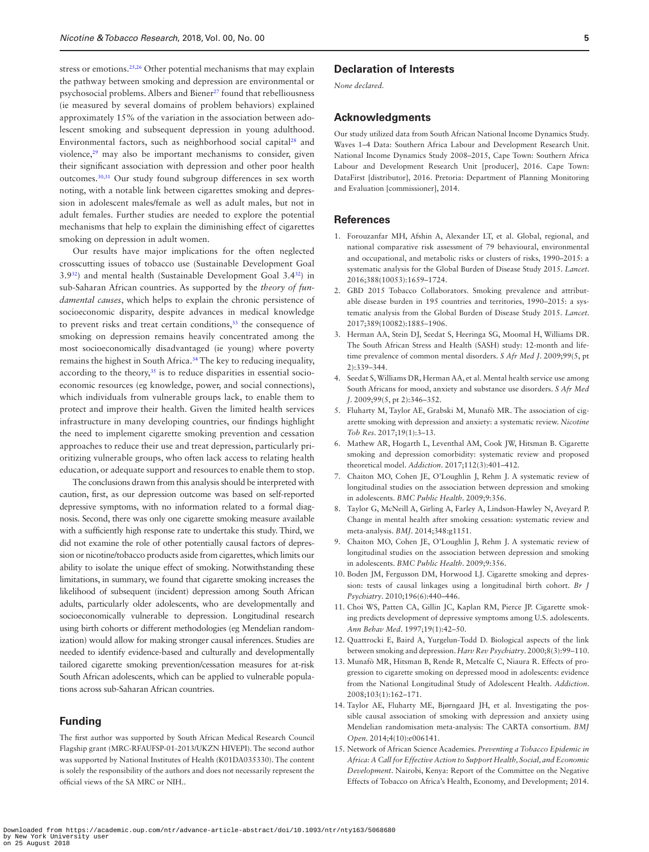stress or emotions.[25,](#page-5-11)[26](#page-5-12) Other potential mechanisms that may explain the pathway between smoking and depression are environmental or psychosocial problems. Albers and Biener<sup>27</sup> found that rebelliousness (ie measured by several domains of problem behaviors) explained approximately 15% of the variation in the association between adolescent smoking and subsequent depression in young adulthood. Environmental factors, such as neighborhood social capital<sup>[28](#page-5-14)</sup> and violence,<sup>[29](#page-5-15)</sup> may also be important mechanisms to consider, given their significant association with depression and other poor health outcomes.[30](#page-5-16)[,31](#page-5-17) Our study found subgroup differences in sex worth noting, with a notable link between cigarettes smoking and depression in adolescent males/female as well as adult males, but not in adult females. Further studies are needed to explore the potential mechanisms that help to explain the diminishing effect of cigarettes smoking on depression in adult women.

Our results have major implications for the often neglected crosscutting issues of tobacco use (Sustainable Development Goal  $3.9^{32}$ ) and mental health (Sustainable Development Goal  $3.4^{32}$ ) in sub-Saharan African countries. As supported by the *theory of fundamental causes*, which helps to explain the chronic persistence of socioeconomic disparity, despite advances in medical knowledge to prevent risks and treat certain conditions,<sup>33</sup> the consequence of smoking on depression remains heavily concentrated among the most socioeconomically disadvantaged (ie young) where poverty remains the highest in South Africa.<sup>34</sup> The key to reducing inequality, according to the theory,<sup>35</sup> is to reduce disparities in essential socioeconomic resources (eg knowledge, power, and social connections), which individuals from vulnerable groups lack, to enable them to protect and improve their health. Given the limited health services infrastructure in many developing countries, our findings highlight the need to implement cigarette smoking prevention and cessation approaches to reduce their use and treat depression, particularly prioritizing vulnerable groups, who often lack access to relating health education, or adequate support and resources to enable them to stop.

The conclusions drawn from this analysis should be interpreted with caution, first, as our depression outcome was based on self-reported depressive symptoms, with no information related to a formal diagnosis. Second, there was only one cigarette smoking measure available with a sufficiently high response rate to undertake this study. Third, we did not examine the role of other potentially causal factors of depression or nicotine/tobacco products aside from cigarettes, which limits our ability to isolate the unique effect of smoking. Notwithstanding these limitations, in summary, we found that cigarette smoking increases the likelihood of subsequent (incident) depression among South African adults, particularly older adolescents, who are developmentally and socioeconomically vulnerable to depression. Longitudinal research using birth cohorts or different methodologies (eg Mendelian randomization) would allow for making stronger causal inferences. Studies are needed to identify evidence-based and culturally and developmentally tailored cigarette smoking prevention/cessation measures for at-risk South African adolescents, which can be applied to vulnerable populations across sub-Saharan African countries.

# **Funding**

The first author was supported by South African Medical Research Council Flagship grant (MRC-RFAUFSP-01-2013/UKZN HIVEPI). The second author was supported by National Institutes of Health (K01DA035330). The content is solely the responsibility of the authors and does not necessarily represent the official views of the SA MRC or NIH..

## **Declaration of Interests**

*None declared.*

#### **Acknowledgments**

Our study utilized data from South African National Income Dynamics Study. Waves 1–4 Data: Southern Africa Labour and Development Research Unit. National Income Dynamics Study 2008–2015, Cape Town: Southern Africa Labour and Development Research Unit [producer], 2016. Cape Town: DataFirst [distributor], 2016. Pretoria: Department of Planning Monitoring and Evaluation [commissioner], 2014.

#### **References**

- <span id="page-4-0"></span>1. Forouzanfar MH, Afshin A, Alexander LT, et al. Global, regional, and national comparative risk assessment of 79 behavioural, environmental and occupational, and metabolic risks or clusters of risks, 1990–2015: a systematic analysis for the Global Burden of Disease Study 2015. *Lancet*. 2016;388(10053):1659–1724.
- <span id="page-4-1"></span>2. GBD 2015 Tobacco Collaborators. Smoking prevalence and attributable disease burden in 195 countries and territories, 1990–2015: a systematic analysis from the Global Burden of Disease Study 2015. *Lancet*. 2017;389(10082):1885–1906.
- <span id="page-4-2"></span>3. Herman AA, Stein DJ, Seedat S, Heeringa SG, Moomal H, Williams DR. The South African Stress and Health (SASH) study: 12-month and lifetime prevalence of common mental disorders. *S Afr Med J*. 2009;99(5, pt 2):339–344.
- <span id="page-4-3"></span>4. Seedat S, Williams DR, Herman AA, et al. Mental health service use among South Africans for mood, anxiety and substance use disorders. *S Afr Med J*. 2009;99(5, pt 2):346–352.
- <span id="page-4-4"></span>5. Fluharty M, Taylor AE, Grabski M, Munafò MR. The association of cigarette smoking with depression and anxiety: a systematic review. *Nicotine Tob Res*. 2017;19(1):3–13.
- 6. Mathew AR, Hogarth L, Leventhal AM, Cook JW, Hitsman B. Cigarette smoking and depression comorbidity: systematic review and proposed theoretical model. *Addiction*. 2017;112(3):401–412.
- 7. Chaiton MO, Cohen JE, O'Loughlin J, Rehm J. A systematic review of longitudinal studies on the association between depression and smoking in adolescents. *BMC Public Health*. 2009;9:356.
- <span id="page-4-5"></span>8. Taylor G, McNeill A, Girling A, Farley A, Lindson-Hawley N, Aveyard P. Change in mental health after smoking cessation: systematic review and meta-analysis. *BMJ*. 2014;348:g1151.
- <span id="page-4-6"></span>9. Chaiton MO, Cohen JE, O'Loughlin J, Rehm J. A systematic review of longitudinal studies on the association between depression and smoking in adolescents. *BMC Public Health*. 2009;9:356.
- <span id="page-4-7"></span>10. Boden JM, Fergusson DM, Horwood LJ. Cigarette smoking and depression: tests of causal linkages using a longitudinal birth cohort. *Br J Psychiatry*. 2010;196(6):440–446.
- <span id="page-4-8"></span>11. Choi WS, Patten CA, Gillin JC, Kaplan RM, Pierce JP. Cigarette smoking predicts development of depressive symptoms among U.S. adolescents. *Ann Behav Med*. 1997;19(1):42–50.
- <span id="page-4-9"></span>12. Quattrocki E, Baird A, Yurgelun-Todd D. Biological aspects of the link between smoking and depression. *Harv Rev Psychiatry*. 2000;8(3):99–110.
- <span id="page-4-10"></span>13. Munafò MR, Hitsman B, Rende R, Metcalfe C, Niaura R. Effects of progression to cigarette smoking on depressed mood in adolescents: evidence from the National Longitudinal Study of Adolescent Health. *Addiction*. 2008;103(1):162–171.
- <span id="page-4-11"></span>14. Taylor AE, Fluharty ME, Bjørngaard JH, et al. Investigating the possible causal association of smoking with depression and anxiety using Mendelian randomisation meta-analysis: The CARTA consortium. *BMJ Open*. 2014;4(10):e006141.
- <span id="page-4-12"></span>15. Network of African Science Academies. *Preventing a Tobacco Epidemic in Africa: A Call for Effective Action to Support Health, Social, and Economic Development*. Nairobi, Kenya: Report of the Committee on the Negative Effects of Tobacco on Africa's Health, Economy, and Development; 2014.